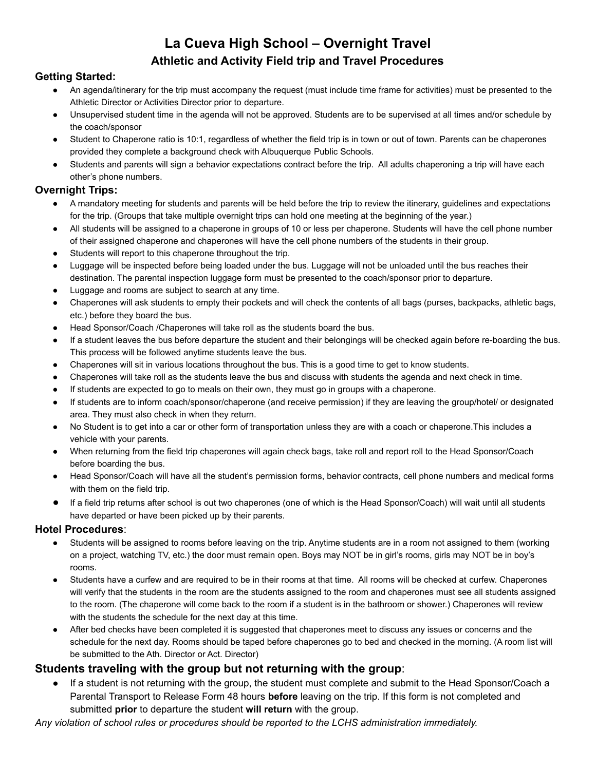## **La Cueva High School – Overnight Travel Athletic and Activity Field trip and Travel Procedures**

#### **Getting Started:**

- An agenda/itinerary for the trip must accompany the request (must include time frame for activities) must be presented to the Athletic Director or Activities Director prior to departure.
- Unsupervised student time in the agenda will not be approved. Students are to be supervised at all times and/or schedule by the coach/sponsor
- Student to Chaperone ratio is 10:1, regardless of whether the field trip is in town or out of town. Parents can be chaperones provided they complete a background check with Albuquerque Public Schools.
- Students and parents will sign a behavior expectations contract before the trip. All adults chaperoning a trip will have each other's phone numbers.

#### **Overnight Trips:**

- A mandatory meeting for students and parents will be held before the trip to review the itinerary, guidelines and expectations for the trip. (Groups that take multiple overnight trips can hold one meeting at the beginning of the year.)
- All students will be assigned to a chaperone in groups of 10 or less per chaperone. Students will have the cell phone number of their assigned chaperone and chaperones will have the cell phone numbers of the students in their group.
- Students will report to this chaperone throughout the trip.
- Luggage will be inspected before being loaded under the bus. Luggage will not be unloaded until the bus reaches their destination. The parental inspection luggage form must be presented to the coach/sponsor prior to departure.
- Luggage and rooms are subject to search at any time.
- Chaperones will ask students to empty their pockets and will check the contents of all bags (purses, backpacks, athletic bags, etc.) before they board the bus.
- Head Sponsor/Coach /Chaperones will take roll as the students board the bus.
- If a student leaves the bus before departure the student and their belongings will be checked again before re-boarding the bus. This process will be followed anytime students leave the bus.
- Chaperones will sit in various locations throughout the bus. This is a good time to get to know students.
- Chaperones will take roll as the students leave the bus and discuss with students the agenda and next check in time.
- If students are expected to go to meals on their own, they must go in groups with a chaperone.
- If students are to inform coach/sponsor/chaperone (and receive permission) if they are leaving the group/hotel/ or designated area. They must also check in when they return.
- No Student is to get into a car or other form of transportation unless they are with a coach or chaperone.This includes a vehicle with your parents.
- When returning from the field trip chaperones will again check bags, take roll and report roll to the Head Sponsor/Coach before boarding the bus.
- Head Sponsor/Coach will have all the student's permission forms, behavior contracts, cell phone numbers and medical forms with them on the field trip.
- If a field trip returns after school is out two chaperones (one of which is the Head Sponsor/Coach) will wait until all students have departed or have been picked up by their parents.

#### **Hotel Procedures**:

- Students will be assigned to rooms before leaving on the trip. Anytime students are in a room not assigned to them (working on a project, watching TV, etc.) the door must remain open. Boys may NOT be in girl's rooms, girls may NOT be in boy's rooms.
- Students have a curfew and are required to be in their rooms at that time. All rooms will be checked at curfew. Chaperones will verify that the students in the room are the students assigned to the room and chaperones must see all students assigned to the room. (The chaperone will come back to the room if a student is in the bathroom or shower.) Chaperones will review with the students the schedule for the next day at this time.
- After bed checks have been completed it is suggested that chaperones meet to discuss any issues or concerns and the schedule for the next day. Rooms should be taped before chaperones go to bed and checked in the morning. (A room list will be submitted to the Ath. Director or Act. Director)

### **Students traveling with the group but not returning with the group**:

● If a student is not returning with the group, the student must complete and submit to the Head Sponsor/Coach a Parental Transport to Release Form 48 hours **before** leaving on the trip. If this form is not completed and submitted **prior** to departure the student **will return** with the group.

*Any violation of school rules or procedures should be reported to the LCHS administration immediately.*